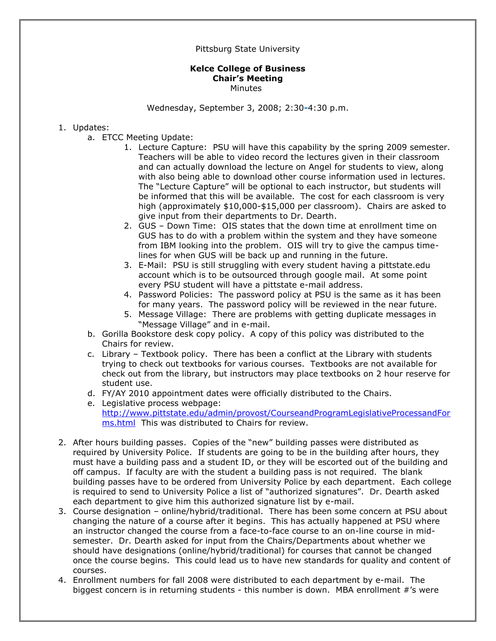## Pittsburg State University

## **Kelce College of Business Chair's Meeting Minutes**

Wednesday, September 3, 2008; 2:30**-**4:30 p.m.

## 1. Updates:

- a. ETCC Meeting Update:
	- 1. Lecture Capture: PSU will have this capability by the spring 2009 semester. Teachers will be able to video record the lectures given in their classroom and can actually download the lecture on Angel for students to view, along with also being able to download other course information used in lectures. The "Lecture Capture" will be optional to each instructor, but students will be informed that this will be available. The cost for each classroom is very high (approximately \$10,000-\$15,000 per classroom). Chairs are asked to give input from their departments to Dr. Dearth.
	- 2. GUS Down Time: OIS states that the down time at enrollment time on GUS has to do with a problem within the system and they have someone from IBM looking into the problem. OIS will try to give the campus timelines for when GUS will be back up and running in the future.
	- 3. E-Mail: PSU is still struggling with every student having a pittstate.edu account which is to be outsourced through google mail. At some point every PSU student will have a pittstate e-mail address.
	- 4. Password Policies: The password policy at PSU is the same as it has been for many years. The password policy will be reviewed in the near future.
	- 5. Message Village: There are problems with getting duplicate messages in "Message Village" and in e-mail.
- b. Gorilla Bookstore desk copy policy. A copy of this policy was distributed to the Chairs for review.
- c. Library Textbook policy. There has been a conflict at the Library with students trying to check out textbooks for various courses. Textbooks are not available for check out from the library, but instructors may place textbooks on 2 hour reserve for student use.
- d. FY/AY 2010 appointment dates were officially distributed to the Chairs.
- e. Legislative process webpage: [http://www.pittstate.edu/admin/provost/CourseandProgramLegislativeProcessandFor](http://www.pittstate.edu/admin/provost/CourseandProgramLegislativeProcessandForms.html) [ms.html](http://www.pittstate.edu/admin/provost/CourseandProgramLegislativeProcessandForms.html) This was distributed to Chairs for review.
- 2. After hours building passes. Copies of the "new" building passes were distributed as required by University Police. If students are going to be in the building after hours, they must have a building pass and a student ID, or they will be escorted out of the building and off campus. If faculty are with the student a building pass is not required. The blank building passes have to be ordered from University Police by each department. Each college is required to send to University Police a list of "authorized signatures". Dr. Dearth asked each department to give him this authorized signature list by e-mail.
- 3. Course designation online/hybrid/traditional. There has been some concern at PSU about changing the nature of a course after it begins. This has actually happened at PSU where an instructor changed the course from a face-to-face course to an on-line course in midsemester. Dr. Dearth asked for input from the Chairs/Departments about whether we should have designations (online/hybrid/traditional) for courses that cannot be changed once the course begins. This could lead us to have new standards for quality and content of courses.
- 4. Enrollment numbers for fall 2008 were distributed to each department by e-mail. The biggest concern is in returning students - this number is down. MBA enrollment #'s were